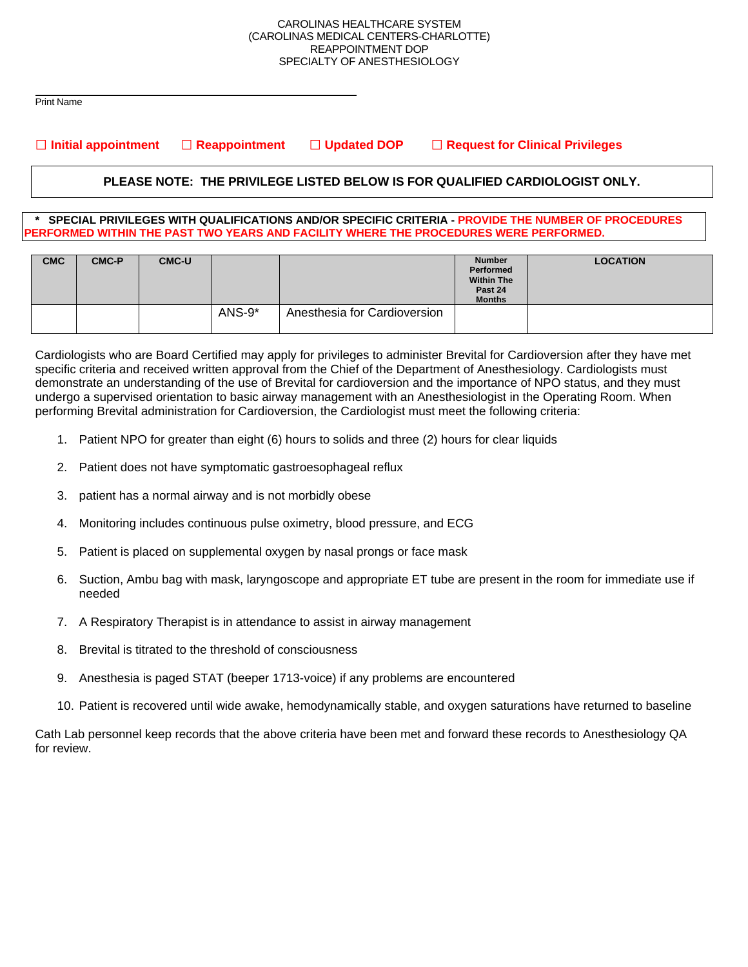#### CAROLINAS HEALTHCARE SYSTEM (CAROLINAS MEDICAL CENTERS-CHARLOTTE) REAPPOINTMENT DOP SPECIALTY OF ANESTHESIOLOGY

 Print Name

**Initial appointment Reappointment Updated DOP Request for Clinical Privileges**

# **PLEASE NOTE: THE PRIVILEGE LISTED BELOW IS FOR QUALIFIED CARDIOLOGIST ONLY.**

#### **\* SPECIAL PRIVILEGES WITH QUALIFICATIONS AND/OR SPECIFIC CRITERIA - PROVIDE THE NUMBER OF PROCEDURES PERFORMED WITHIN THE PAST TWO YEARS AND FACILITY WHERE THE PROCEDURES WERE PERFORMED.**

| <b>CMC</b> | <b>CMC-P</b> | <b>CMC-U</b> |        |                              | <b>Number</b><br>Performed<br><b>Within The</b><br>Past 24<br><b>Months</b> | <b>LOCATION</b> |
|------------|--------------|--------------|--------|------------------------------|-----------------------------------------------------------------------------|-----------------|
|            |              |              | ANS-9* | Anesthesia for Cardioversion |                                                                             |                 |

Cardiologists who are Board Certified may apply for privileges to administer Brevital for Cardioversion after they have met specific criteria and received written approval from the Chief of the Department of Anesthesiology. Cardiologists must demonstrate an understanding of the use of Brevital for cardioversion and the importance of NPO status, and they must undergo a supervised orientation to basic airway management with an Anesthesiologist in the Operating Room. When performing Brevital administration for Cardioversion, the Cardiologist must meet the following criteria:

- 1. Patient NPO for greater than eight (6) hours to solids and three (2) hours for clear liquids
- 2. Patient does not have symptomatic gastroesophageal reflux
- 3. patient has a normal airway and is not morbidly obese
- 4. Monitoring includes continuous pulse oximetry, blood pressure, and ECG
- 5. Patient is placed on supplemental oxygen by nasal prongs or face mask
- 6. Suction, Ambu bag with mask, laryngoscope and appropriate ET tube are present in the room for immediate use if needed
- 7. A Respiratory Therapist is in attendance to assist in airway management
- 8. Brevital is titrated to the threshold of consciousness
- 9. Anesthesia is paged STAT (beeper 1713-voice) if any problems are encountered
- 10. Patient is recovered until wide awake, hemodynamically stable, and oxygen saturations have returned to baseline

Cath Lab personnel keep records that the above criteria have been met and forward these records to Anesthesiology QA for review.